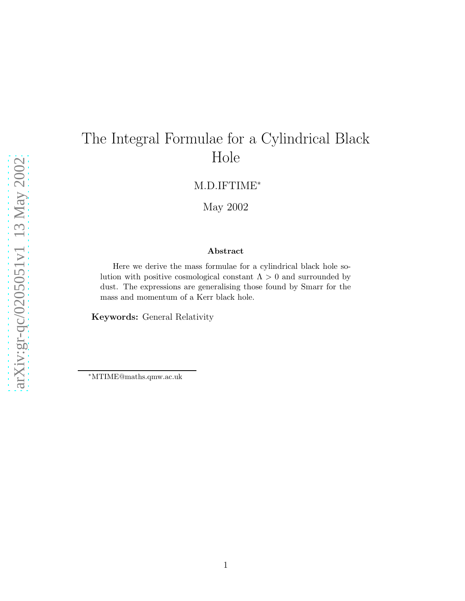# The Integral Formulae for a Cylindrical Black Hole

M.D.IFTIME<sup>∗</sup>

May 2002

#### Abstract

Here we derive the mass formulae for a cylindrical black hole solution with positive cosmological constant  $\Lambda > 0$  and surrounded by dust. The expressions are generalising those found by Smarr for the mass and momentum of a Kerr black hole.

Keywords: General Relativity

<sup>∗</sup>MTIME@maths.qmw.ac.uk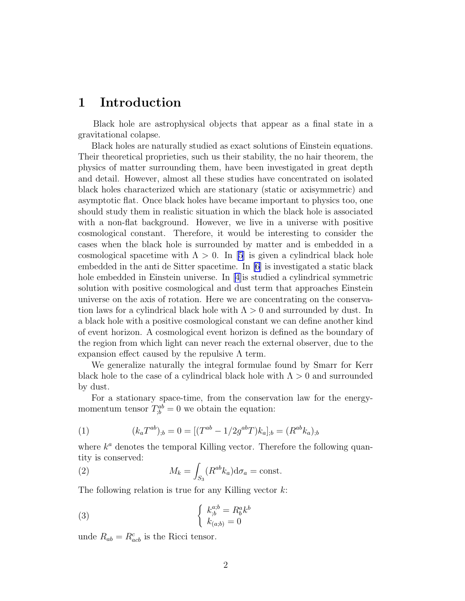### <span id="page-1-0"></span>1 Introduction

Black hole are astrophysical objects that appear as a final state in a gravitational colapse.

Black holes are naturally studied as exact solutions of Einstein equations. Their theoretical proprieties, such us their stability, the no hair theorem, the physics of matter surrounding them, have been investigated in great depth and detail. However, almost all these studies have concentrated on isolated black holes characterized which are stationary (static or axisymmetric) and asymptotic flat. Once black holes have became important to physics too, one should study them in realistic situation in which the black hole is associated with a non-flat background. However, we live in a universe with positive cosmological constant. Therefore, it would be interesting to consider the cases when the black hole is surrounded by matter and is embedded in a cosmological spacetime with  $\Lambda > 0$ . In [\[5](#page-4-0)] is given a cylindrical black hole embedded in the anti de Sitter spacetime. In [\[6](#page-4-0)] is investigated a static black hole embedded in Einstein universe. In[[4\]](#page-4-0)is studied a cylindrical symmetric solution with positive cosmological and dust term that approaches Einstein universe on the axis of rotation. Here we are concentrating on the conservation laws for a cylindrical black hole with  $\Lambda > 0$  and surrounded by dust. In a black hole with a positive cosmological constant we can define another kind of event horizon. A cosmological event horizon is defined as the boundary of the region from which light can never reach the external observer, due to the expansion effect caused by the repulsive  $\Lambda$  term.

We generalize naturally the integral formulae found by Smarr for Kerr black hole to the case of a cylindrical black hole with  $\Lambda > 0$  and surrounded by dust.

For a stationary space-time, from the conservation law for the energymomentum tensor  $T_{;b}^{ab} = 0$  we obtain the equation:

(1) 
$$
(k_a T^{ab})_{;b} = 0 = [(T^{ab} - 1/2g^{ab}T)k_a]_{;b} = (R^{ab}k_a)_{;b}
$$

where  $k^a$  denotes the temporal Killing vector. Therefore the following quantity is conserved:

(2) 
$$
M_k = \int_{S_3} (R^{ab} k_a) d\sigma_a = \text{const.}
$$

The following relation is true for any Killing vector  $k$ :

(3) 
$$
\begin{cases} k_{;b}^{a;b} = R_b^a k^b\\ k_{(a;b)} = 0 \end{cases}
$$

unde  $R_{ab} = R_{acb}^c$  is the Ricci tensor.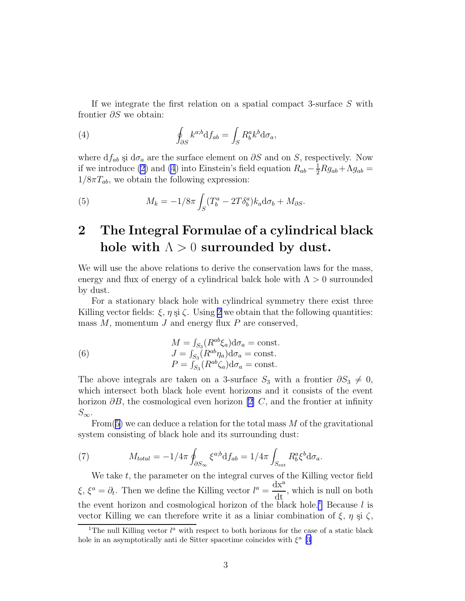<span id="page-2-0"></span>If we integrate the first relation on a spatial compact 3-surface S with frontier ∂S we obtain:

(4) 
$$
\oint_{\partial S} k^{a;b} \mathrm{d} f_{ab} = \int_{S} R^{a}_{b} k^{b} \mathrm{d} \sigma_{a},
$$

where  $df_{ab}$  și  $d\sigma_a$  are the surface element on  $\partial S$  and on S, respectively. Now if we introduce [\(2](#page-1-0)) and (4) into Einstein's field equation  $R_{ab} - \frac{1}{2}Rg_{ab} + \Lambda g_{ab} =$  $1/8\pi T_{ab}$ , we obtain the following expression:

(5) 
$$
M_k = -1/8\pi \int_S (T_b^a - 2T\delta_b^a) k_a \mathrm{d}\sigma_b + M_{\partial S}.
$$

## 2 The Integral Formulae of a cylindrical black hole with  $\Lambda > 0$  surrounded by dust.

We will use the above relations to derive the conservation laws for the mass, energy and flux of energy of a cylindrical balck hole with  $\Lambda > 0$  surrounded by dust.

For a stationary black hole with cylindrical symmetry there exist three Killing vector fields:  $\xi$ ,  $\eta$  si  $\zeta$ . Using [2](#page-1-0) we obtain that the following quantities: mass  $M$ , momentum  $J$  and energy flux  $P$  are conserved,

(6) 
$$
M = \int_{S_3} (R^{ab}\xi_a) d\sigma_a = \text{const.}
$$

$$
J = \int_{S_3} (R^{ab}\eta_a) d\sigma_a = \text{const.}
$$

$$
P = \int_{S_3} (R^{ab}\zeta_a) d\sigma_a = \text{const.}
$$

The above integrals are taken on a 3-surface  $S_3$  with a frontier  $\partial S_3 \neq 0$ , which intersect both black hole event horizons and it consists of the event horizon  $\partial B$ , the cosmological even horizon [\[2\]](#page-4-0) C, and the frontier at infinity  $S_{\infty}$ .

From(5) we can deduce a relation for the total mass  $M$  of the gravitational system consisting of black hole and its surrounding dust:

(7) 
$$
M_{total} = -1/4\pi \oint_{\partial S_{\infty}} \xi^{a;b} df_{ab} = 1/4\pi \int_{S_{ext}} R_b^a \xi^b d\sigma_a.
$$

We take  $t$ , the parameter on the integral curves of the Killing vector field  $\xi, \xi^a = \partial_t$ . Then we define the Killing vector  $l^a = \frac{dx^a}{dt}$  $\frac{d\mathbf{r}}{dt}$ , which is null on both the event horizon and cosmological horizon of the black hole.<sup>1</sup> Because  $l$  is vector Killing we can therefore write it as a liniar combination of  $\xi$ ,  $\eta$   $\eta$   $\zeta$ ,

<sup>&</sup>lt;sup>1</sup>The null Killing vector  $l^a$  with respect to both horizons for the case of a static black hole in an asymptotically anti de Sitter spacetime coincides with  $\xi^a$  [\[3](#page-4-0)]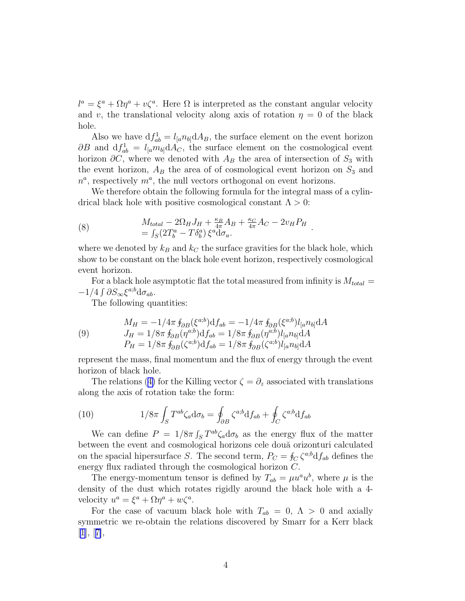$l^a = \xi^a + \Omega \eta^a + \nu \zeta^a$ . Here  $\Omega$  is interpreted as the constant angular velocity and v, the translational velocity along axis of rotation  $\eta = 0$  of the black hole.

Also we have  $df_{ab}^1 = l_{[a}n_{b]}dA_B$ , the surface element on the event horizon  $\partial B$  and  $df_{ab}^1 = l_{[a}m_{b]}dA_C$ , the surface element on the cosmological event horizon  $\partial C$ , where we denoted with  $A_B$  the area of intersection of  $S_3$  with the event horizon,  $A_B$  the area of of cosmological event horizon on  $S_3$  and  $n^a$ , respectively  $m^a$ , the null vectors orthogonal on event horizons.

We therefore obtain the following formula for the integral mass of a cylindrical black hole with positive cosmological constant  $\Lambda > 0$ :

(8) 
$$
M_{total} - 2\Omega_H J_H + \frac{\kappa_B}{4\pi} A_B + \frac{\kappa_C}{4\pi} A_C - 2v_H P_H = \int_S (2T_b^a - T\delta_b^a) \xi^a d\sigma_a.
$$

where we denoted by  $k_B$  and  $k_C$  the surface gravities for the black hole, which show to be constant on the black hole event horizon, respectively cosmological event horizon.

For a black hole asymptotic flat the total measured from infinity is  $M_{total} =$  $-1/4 \int \partial S_{\infty} \xi^{a;b} d\sigma_{ab}$ .

The following quantities:

(9) 
$$
M_H = -1/4\pi \oint_{\partial B} (\xi^{a;b}) \mathrm{d}f_{ab} = -1/4\pi \oint_{\partial B} (\xi^{a;b}) l_{[a} n_{b]} \mathrm{d}A J_H = 1/8\pi \oint_{\partial B} (\eta^{a;b}) \mathrm{d}f_{ab} = 1/8\pi \oint_{\partial B} (\eta^{a;b}) l_{[a} n_{b]} \mathrm{d}A P_H = 1/8\pi \oint_{\partial B} (\zeta^{a;b}) \mathrm{d}f_{ab} = 1/8\pi \oint_{\partial B} (\zeta^{a;b}) l_{[a} n_{b]} \mathrm{d}A
$$

represent the mass, final momentum and the flux of energy through the event horizon of black hole.

Therelations ([4\)](#page-2-0) for the Killing vector  $\zeta = \partial_z$  associated with translations along the axis of rotation take the form:

(10) 
$$
1/8\pi \int_{S} T^{ab} \zeta_{a} d\sigma_{b} = \oint_{\partial B} \zeta^{a;b} df_{ab} + \oint_{C} \zeta^{a;b} df_{ab}
$$

We can define  $P = 1/8\pi \int_S T^{ab}\zeta_a d\sigma_b$  as the energy flux of the matter between the event and cosmological horizons cele două orizonturi calculated on the spacial hipersurface S. The second term,  $P_C = \oint_C \zeta^{a,b} df_{ab}$  defines the energy flux radiated through the cosmological horizon C.

The energy-momentum tensor is defined by  $T_{ab} = \mu u^a u^b$ , where  $\mu$  is the density of the dust which rotates rigidly around the black hole with a 4 velocity  $u^a = \xi^a + \Omega \eta^a + w \zeta^a$ .

For the case of vacuum black hole with  $T_{ab} = 0, \Lambda > 0$  and axially symmetric we re-obtain the relations discovered by Smarr for a Kerr black  $[1], [7],$  $[1], [7],$  $[1], [7],$  $[1], [7],$  $[1], [7],$  $[1], [7],$